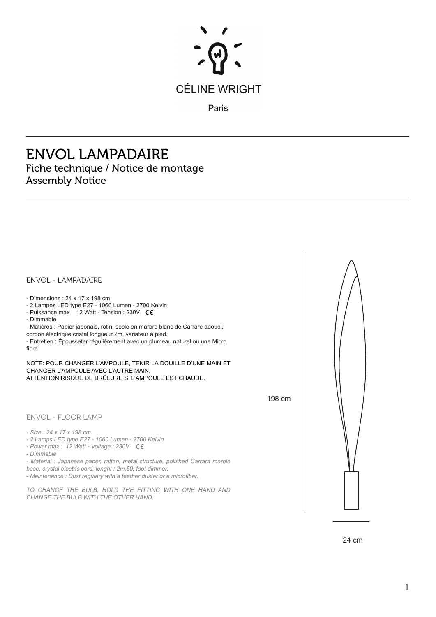

Paris

# ENVOL LAMPADAIRE Fiche technique / Notice de montage Assembly Notice



24 cm